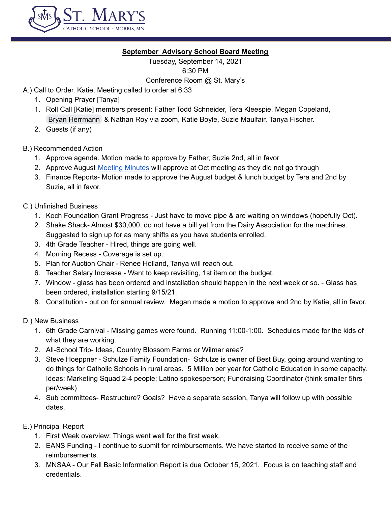

## **September Advisory School Board Meeting**

Tuesday, September 14, 2021 6:30 PM

Conference Room @ St. Mary's

- A.) Call to Order. Katie, Meeting called to order at 6:33
	- 1. Opening Prayer [Tanya]
	- 1. Roll Call [Katie] members present: Father Todd Schneider, Tera Kleespie, Megan Copeland, Bryan [Herrmann](mailto:herrmanb@morris.umn.edu) & Nathan Roy via zoom, Katie Boyle, Suzie Maulfair, Tanya Fischer.
	- 2. Guests (if any)

# B.) Recommended Action

- 1. Approve agenda. Motion made to approve by Father, Suzie 2nd, all in favor
- 2. Approve August [Meeting](https://docs.google.com/document/d/1AQWDbQQBZd3UVZBxKusTZVR0LctHiVjGOPeGNGtUhQc/edit) Minutes will approve at Oct meeting as they did not go through
- 3. Finance Reports- Motion made to approve the August budget & lunch budget by Tera and 2nd by Suzie, all in favor.
- C.) Unfinished Business
	- 1. Koch Foundation Grant Progress Just have to move pipe & are waiting on windows (hopefully Oct).
	- 2. Shake Shack- Almost \$30,000, do not have a bill yet from the Dairy Association for the machines. Suggested to sign up for as many shifts as you have students enrolled.
	- 3. 4th Grade Teacher Hired, things are going well.
	- 4. Morning Recess Coverage is set up.
	- 5. Plan for Auction Chair Renee Holland, Tanya will reach out.
	- 6. Teacher Salary Increase Want to keep revisiting, 1st item on the budget.
	- 7. Window glass has been ordered and installation should happen in the next week or so. Glass has been ordered, installation starting 9/15/21.
	- 8. Constitution put on for annual review. Megan made a motion to approve and 2nd by Katie, all in favor.
- D.) New Business
	- 1. 6th Grade Carnival Missing games were found. Running 11:00-1:00. Schedules made for the kids of what they are working.
	- 2. All-School Trip- Ideas, Country Blossom Farms or Wilmar area?
	- 3. Steve Hoeppner Schulze Family Foundation- Schulze is owner of Best Buy, going around wanting to do things for Catholic Schools in rural areas. 5 Million per year for Catholic Education in some capacity. Ideas: Marketing Squad 2-4 people; Latino spokesperson; Fundraising Coordinator (think smaller 5hrs per/week)
	- 4. Sub committees- Restructure? Goals? Have a separate session, Tanya will follow up with possible dates.
- E.) Principal Report
	- 1. First Week overview: Things went well for the first week.
	- 2. EANS Funding I continue to submit for reimbursements. We have started to receive some of the reimbursements.
	- 3. MNSAA Our Fall Basic Information Report is due October 15, 2021. Focus is on teaching staff and credentials.